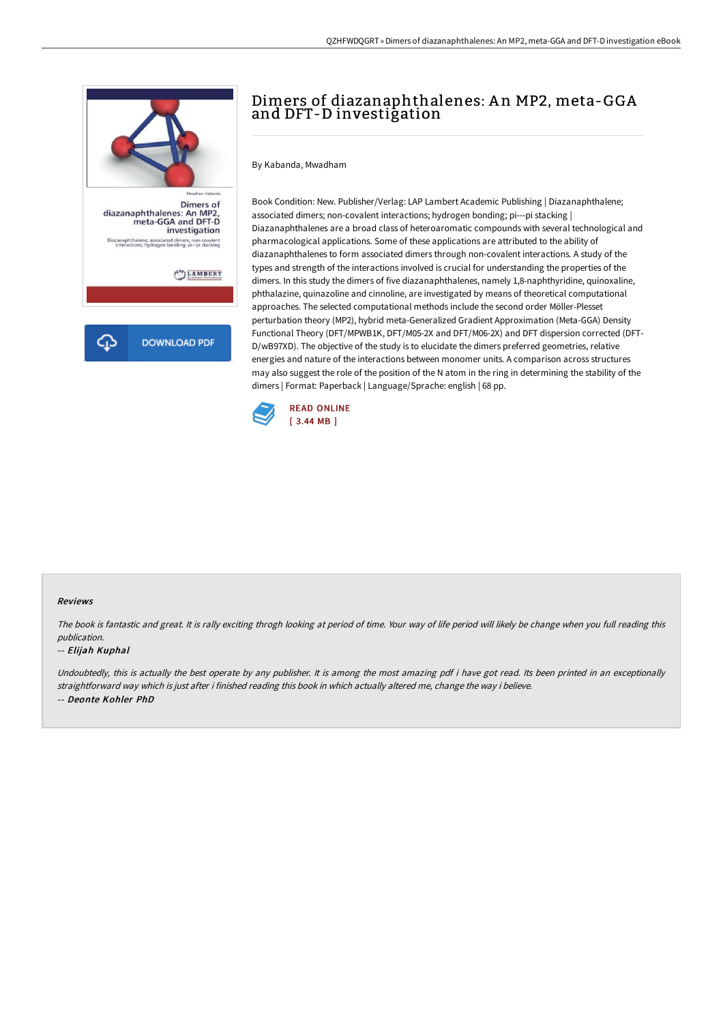

# Dimers of diazanaphthalenes: An MP2, meta-GGA and DFT-D investigation

By Kabanda, Mwadham

Book Condition: New. Publisher/Verlag: LAP Lambert Academic Publishing | Diazanaphthalene; associated dimers; non-covalent interactions; hydrogen bonding; pi---pi stacking | Diazanaphthalenes are a broad class of heteroaromatic compounds with several technological and pharmacological applications. Some of these applications are attributed to the ability of diazanaphthalenes to form associated dimers through non-covalent interactions. A study of the types and strength of the interactions involved is crucial for understanding the properties of the dimers. In this study the dimers of five diazanaphthalenes, namely 1,8-naphthyridine, quinoxaline, phthalazine, quinazoline and cinnoline, are investigated by means of theoretical computational approaches. The selected computational methods include the second order Möller-Plesset perturbation theory (MP2), hybrid meta-Generalized Gradient Approximation (Meta-GGA) Density Functional Theory (DFT/MPWB1K, DFT/M05-2X and DFT/M06-2X) and DFT dispersion corrected (DFT-D/wB97XD). The objective of the study is to elucidate the dimers preferred geometries, relative energies and nature of the interactions between monomer units. A comparison across structures may also suggest the role of the position of the N atom in the ring in determining the stability of the dimers | Format: Paperback | Language/Sprache: english | 68 pp.



#### Reviews

The book is fantastic and great. It is rally exciting throgh looking at period of time. Your way of life period will likely be change when you full reading this publication.

#### -- Elijah Kuphal

Undoubtedly, this is actually the best operate by any publisher. It is among the most amazing pdf i have got read. Its been printed in an exceptionally straightforward way which is just after i finished reading this book in which actually altered me, change the way i believe. -- Deonte Kohler PhD